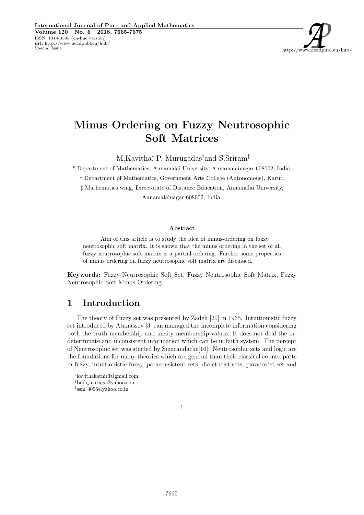

# Minus Ordering on Fuzzy Neutrosophic Soft Matrices

M.Kavitha,<sup>\*</sup> P. Murugadas<sup>†</sup>and S.Sriram<sup>‡</sup>

\* Department of Mathematics, Annamalai University, Annamalainagar-608002, India.

† Department of Mathematics, Government Arts College (Autonomous), Karur.

‡ Mathematics wing, Directorate of Distance Education, Annamalai University,

Annamalainagar-608002, India.

#### Abstract

Aim of this article is to study the idea of minus-ordering on fuzzy neutrosophic soft matrix. It is shown that the minus ordering in the set of all fuzzy neutrosophic soft matrix is a partial ordering. Further some properties of minus ordering on fuzzy neutrosophic soft matrix are discussed.

Keywords: Fuzzy Neutrosophic Soft Set, Fuzzy Neutrosophic Soft Matrix, Fuzzy Neutrosophic Soft Minus Ordering.

### 1 Introduction

The theory of Fuzzy set was presented by Zadeh [20] in 1965. Intuitionistic fuzzy set introduced by Atanassov [3] can managed the incomplete information considering both the truth membership and falsity membership values. It does not deal the indeterminate and inconsistent information which can be in faith system. The percept of Neutrosophic set was started by Smarandache[16]. Neutrosophic sets and logic are the foundations for many theories which are general than their classical counterparts in fuzzy, intuitionistic fuzzy, paraconsistent sets, dialetheist sets, paradoxist set and



<sup>∗</sup>kavithakathir3@gmail.com

<sup>†</sup>bodi muruga@yahoo.com

<sup>‡</sup> ssm 3096@yahoo.co.in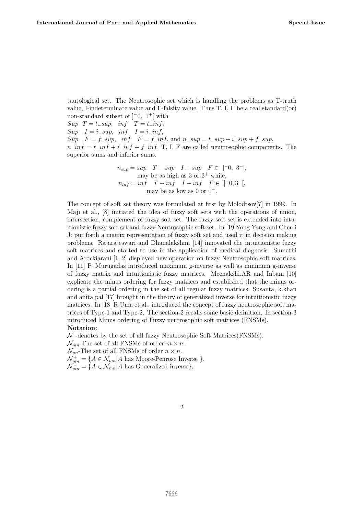tautological set. The Neutrosophic set which is handling the problems as T-truth value, I-indeterminate value and F-falsity value. Thus  $T$ , I, F be a real standard(or) non-standard subset of  $]$ <sup>-0</sup>, 1<sup>+</sup>[ with  $Sup \tT = t\_sup, inf \tT = t\_inf,$  $Sup \t I = i\_sup, inf \t I = i\_inf,$  $Sup \t F = f\_sup, inf \t F = f\_inf.$  and  $n\_sup = t\_sup + i\_sup + f\_sup$ ,  $n_{\perp}$ in $f = t_{\perp}$ in $f + i_{\perp}$ in $f + f_{\perp}$ in $f$ . T, I, F are called neutrosophic components. The superior sums and inferior sums.

$$
n_{sup} = sup \tT + sup \tI + sup \tF \in ]-0, 3^+[,
$$
  
may be as high as 3 or 3<sup>+</sup> while,  

$$
n_{inf} = inf \tT + inf \tI + inf \tF \in ]-0, 3^+[,
$$
  
may be as low as 0 or 0<sup>-</sup>.

The concept of soft set theory was formulated at first by Molodtsov[7] in 1999. In Maji et al., [8] initiated the idea of fuzzy soft sets with the operations of union, intersection, complement of fuzzy soft set. The fuzzy soft set is extended into intuitionistic fuzzy soft set and fuzzy Neutrosophic soft set. In [19]Yong Yang and Chenli J: put forth a matrix representation of fuzzy soft set and used it in decision making problems. Rajarajeswari and Dhanalakshmi [14] innovated the intuitionistic fuzzy soft matrices and started to use in the application of medical diagnosis. Sumathi and Arockiarani [1, 2] displayed new operation on fuzzy Neutrosophic soft matrices. In [11] P. Murugadas introduced maximum g-inverse as well as minimum g-inverse of fuzzy matrix and intuitionistic fuzzy matrices. Meenakshi.AR and Inbam [10] explicate the minus ordering for fuzzy matrices and established that the minus ordering is a partial ordering in the set of all regular fuzzy matrices. Susanta, k.khan and anita pal [17] brought in the theory of generalized inverse for intuitionistic fuzzy matrices. In [18] R.Uma et al., introduced the concept of fuzzy neutrosophic soft matrices of Type-1 and Type-2. The section-2 recalls some basic definition. In section-3 introduced Minus ordering of Fuzzy neutrosophic soft matrices (FNSMs).

#### Notation:

 $\mathcal N$  -denotes by the set of all fuzzy Neutrosophic Soft Matrices (FNSMs).

 $\mathcal{N}_{mn}$ -The set of all FNSMs of order  $m \times n$ .

 $\mathcal{N}_{nn}$ -The set of all FNSMs of order  $n \times n$ .

 $\mathcal{N}_{mn}^+ = \{A \in \mathcal{N}_{mn} | A \text{ has Moore-Penrose Inverse }\}.$ 

 $\mathcal{N}_{mn}^- = \{A \in \mathcal{N}_{mn} | A \text{ has Generalized-inverse}\}.$ 

#### $\mathfrak{D}$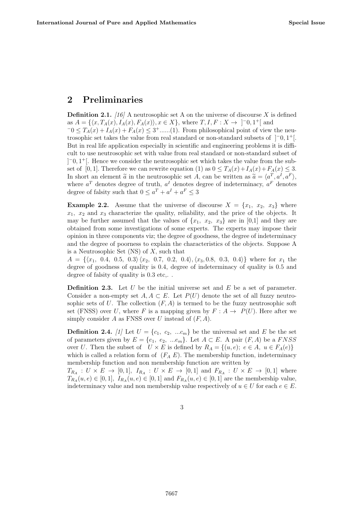### 2 Preliminaries

**Definition 2.1.** [16] A neutrosophic set A on the universe of discourse X is defined as  $A = \{ \langle x, T_A(x), I_A(x), F_A(x) \rangle, x \in X \},\$  where  $T, I, F: X \to ]-0, 1^+[$  and  $-0 \leq T_A(x) + I_A(x) + F_A(x) \leq 3 + \dots (1)$ . From philosophical point of view the neutrosophic set takes the value from real standard or non-standard subsets of ]−0, 1 <sup>+</sup>[. But in real life application especially in scientific and engineering problems it is difficult to use neutrosophic set with value from real standard or non-standard subset of ] <sup>−</sup>0, 1 <sup>+</sup>[. Hence we consider the neutrosophic set which takes the value from the subset of [0, 1]. Therefore we can rewrite equation (1) as  $0 \leq T_A(x) + I_A(x) + F_A(x) \leq 3$ . In short an element  $\tilde{a}$  in the neutrosophic set A, can be written as  $\tilde{a} = \langle a^T, a^I, a^F \rangle$ , where  $a^T$  denotes degree of truth,  $a^I$  denotes degree of indeterminacy,  $a^F$  denotes degree of falsity such that  $0 \le a^T + a^I + a^F \le 3$ 

**Example 2.2.** Assume that the universe of discourse  $X = \{x_1, x_2, x_3\}$  where  $x_1, x_2$  and  $x_3$  characterize the quality, reliability, and the price of the objects. It may be further assumed that the values of  $\{x_1, x_2, x_3\}$  are in [0,1] and they are obtained from some investigations of some experts. The experts may impose their opinion in three components viz; the degree of goodness, the degree of indeterminacy and the degree of poorness to explain the characteristics of the objects. Suppose A is a Neutrosophic Set  $(NS)$  of X, such that

 $A = \{\langle x_1, 0.4, 0.5, 0.3 \rangle \langle x_2, 0.7, 0.2, 0.4 \rangle, \langle x_3, 0.8, 0.3, 0.4 \rangle\}$  where for  $x_1$  the degree of goodness of quality is 0.4, degree of indeterminacy of quality is 0.5 and degree of falsity of quality is  $0.3$  etc,..

**Definition 2.3.** Let U be the initial universe set and  $E$  be a set of parameter. Consider a non-empty set  $A, A \subset E$ . Let  $P(U)$  denote the set of all fuzzy neutrosophic sets of U. The collection  $(F, A)$  is termed to be the fuzzy neutrosophic soft set (FNSS) over U, where F is a mapping given by  $F : A \rightarrow P(U)$ . Here after we simply consider A as FNSS over U instead of  $(F, A)$ .

**Definition 2.4.** [1] Let  $U = \{c_1, c_2, ... c_m\}$  be the universal set and E be the set of parameters given by  $E = \{e_1, e_2, ... e_m\}$ . Let  $A \subset E$ . A pair  $(F, A)$  be a FNSS over U. Then the subset of  $U \times E$  is defined by  $R_A = \{(u, e); e \in A, u \in F_A(e)\}\$ which is called a relation form of  $(F_A E)$ . The membership function, indeterminacy membership function and non membership function are written by

 $T_{R_A}: U \times E \to [0,1], I_{R_A}: U \times E \to [0,1]$  and  $F_{R_A}: U \times E \to [0,1]$  where  $T_{R_A}(u, e) \in [0, 1], I_{R_A}(u, e) \in [0, 1]$  and  $F_{R_A}(u, e) \in [0, 1]$  are the membership value, indeterminacy value and non membership value respectively of  $u \in U$  for each  $e \in E$ .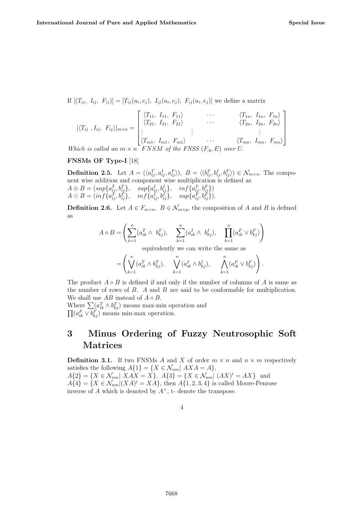If  $[(T_{ii}, I_{ii}, F_{ii})] = [T_{ii}(u_i, e_i), I_{ii}(u_i, e_i), F_{ii}(u_i, e_i)]$  we define a matrix

$$
[\langle T_{ij}, I_{ij}, F_{ij} \rangle]_{m \times n} = \begin{bmatrix} \langle T_{11}, I_{11}, F_{11} \rangle & \cdots & \langle T_{1n}, I_{1n}, F_{1n} \rangle \\ \langle T_{21}, I_{21}, F_{21} \rangle & \cdots & \langle T_{2n}, I_{2n}, F_{2n} \rangle \\ \vdots & \vdots & \ddots & \vdots \\ \langle T_{m1}, I_{m1}, F_{m1} \rangle & \cdots & \langle T_{mn}, I_{mn}, F_{mn} \rangle \end{bmatrix}
$$

Which is called an  $m \times n$  FNSM of the FNSS  $(F_A, E)$  over U.

#### FNSMs OF Type-I [18]

**Definition 2.5.** Let  $A = (\langle a_{ij}^T, a_{ij}^I, a_{ij}^F \rangle), B = \langle (b_{ij}^T, b_{ij}^I, b_{ij}^F \rangle) \in \mathcal{N}_{m \times n}$ . The component wise addition and component wise multiplication is defined as  $A \oplus B = (sup\{a_{ij}^T, b_{ij}^T\}, \quad sup\{a_{ij}^I, b_{ij}^I\}, \quad inf\{a_{ij}^F, b_{ij}^F\})$  $A \odot B = (inf\{a_{ij}^T, b_{ij}^T\}, \quad inf\{a_{ij}^I, b_{ij}^I\}, \quad sup\{a_{ij}^F, b_{ij}^F\}).$ 

**Definition 2.6.** Let  $A \in F_{m \times n}$ ,  $B \in \mathcal{N}_{m \times p}$ , the composition of A and B is defined as

$$
A \circ B = \left(\sum_{k=1}^{n} (a_{ik}^T \wedge b_{kj}^T), \sum_{k=1}^{n} (a_{ik}^I \wedge b_{kj}^I), \prod_{k=1}^{n} (a_{ik}^F \vee b_{kj}^F)\right)
$$
  
equivalently we can write the same as

$$
= \left( \bigvee_{k=1}^n (a_{ik}^T \wedge b_{kj}^T), \quad \bigvee_{k=1}^n (a_{ik}^I \wedge b_{kj}^I), \quad \bigwedge_{k=1}^n (a_{ik}^F \vee b_{kj}^F) \right).
$$

The product  $A \circ B$  is defined if and only if the number of columns of A is same as the number of rows of B. A and B are said to be conformable for multiplication. We shall use  $AB$  instead of  $A \circ B$ .

Where  $\sum_{k} (a_{ik}^T \wedge b_{kj}^T)$  means max-min operation and  $\prod (a_{ik}^F \vee b_{kj}^F)$  means min-max operation.

## 3 Minus Ordering of Fuzzy Neutrosophic Soft Matrices

**Definition 3.1.** If two FNSMs A and X of order  $m \times n$  and  $n \times m$  respectively satisfies the following  $A\{1\} = \{X \in \mathcal{N}_{nm} | AXA = A\},\$  $A\{2\} = \{X \in \mathcal{N}_{nm} | XAX = X\}, A\{3\} = \{X \in \mathcal{N}_{nm} | (AX)^t = AX\}$  and  $A{4} = {X \in \mathcal{N}_{nm} | (XA)^t = XA}$ , then  $A{1, 2, 3, 4}$  is called Moore-Penrose inverse of A which is denoted by  $A^+$ , t- denote the transpose.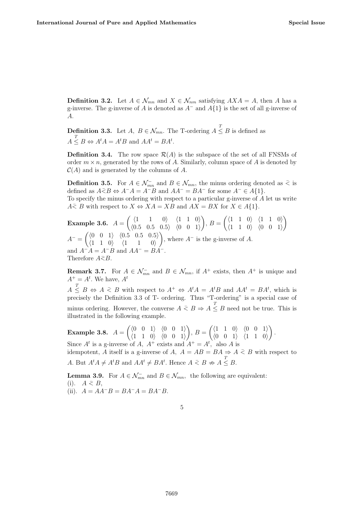**Definition 3.2.** Let  $A \in \mathcal{N}_{mn}$  and  $X \in \mathcal{N}_{nm}$  satisfying  $AXA = A$ , then A has a g-inverse. The g-inverse of A is denoted as  $A^-$  and  $A\{1\}$  is the set of all g-inverse of A.

**Definition 3.3.** Let  $A, B \in \mathcal{N}_{mn}$ . The T-ordering  $A \leq B$  is defined as  $A \leq B \Leftrightarrow A^t A = A^t B$  and  $A A^t = B A^t$ .

**Definition 3.4.** The row space  $\mathcal{R}(A)$  is the subspace of the set of all FNSMs of order  $m \times n$ , generated by the rows of A. Similarly, column space of A is denoted by  $C(A)$  and is generated by the columns of A.

**Definition 3.5.** For  $A \in \mathcal{N}_{mn}^-$  and  $B \in \mathcal{N}_{mn}$ , the minus ordering denoted as  $\leq$  is defined as  $A\overline{\leq}B \Leftrightarrow A^{-}A = A^{-}B$  and  $AA^{-} = BA^{-}$  for some  $A^{-} \in A\{1\}.$ To specify the minus ordering with respect to a particular g-inverse of A let us write  $A \subset B$  with respect to  $X \Leftrightarrow XA = XB$  and  $AX = BX$  for  $X \in A\{1\}$ .

**Example 3.6.** 
$$
A = \begin{pmatrix} \langle 1 & 1 & 0 \rangle & \langle 1 & 1 & 0 \rangle \\ \langle 0.5 & 0.5 & 0.5 \rangle & \langle 0 & 0 & 1 \rangle \end{pmatrix}, B = \begin{pmatrix} \langle 1 & 1 & 0 \rangle & \langle 1 & 1 & 0 \rangle \\ \langle 1 & 1 & 0 \rangle & \langle 0 & 0 & 1 \rangle \end{pmatrix}
$$

$$
A^- = \begin{pmatrix} \langle 0 & 0 & 1 \rangle & \langle 0.5 & 0.5 & 0.5 \rangle \\ \langle 1 & 1 & 0 \rangle & \langle 1 & 1 & 0 \rangle \end{pmatrix}, \text{ where } A^- \text{ is the g-inverse of } A.
$$
and  $A^-A = A^-B$  and  $AA^- = BA^-$ .  
Therefore  $A \leq B$ .

**Remark 3.7.** For  $A \in \mathcal{N}_{mn}^-$  and  $B \in \mathcal{N}_{mn}$ , if  $A^+$  exists, then  $A^+$  is unique and  $A^+ = A^t$ . We have,  $A^t$ 

 $A \leq B \Leftrightarrow A \leq B$  with respect to  $A^+ \Leftrightarrow A^t A = A^t B$  and  $A A^t = B A^t$ , which is precisely the Definition 3.3 of T- ordering. Thus "T-ordering" is a special case of minus ordering. However, the converse  $A \leq B \Rightarrow A \leq B$  need not be true. This is illustrated in the following example.

Example 3.8.  $A =$  $\left(\begin{matrix} \langle 0 & 0 & 1 \rangle & \langle 0 & 0 & 1 \rangle \end{matrix}\right)$  $\langle 1 \ 1 \ 0 \rangle$   $\langle 0 \ 0 \ 1 \rangle$  $\setminus$  $, B =$  $\left(\begin{matrix}1 & 1 & 0\\ 0 & 0 & 1\end{matrix}\right)$  $\langle 0 \ 0 \ 1 \rangle$   $\langle 1 \ 1 \ 0 \rangle$  $\setminus$ . Since  $A^t$  is a g-inverse of A,  $A^+$  exists and  $A^+ = A^t$ , also A is

idempotent, A itself is a g-inverse of A,  $A = AB = BA \Rightarrow A \leq B$  with respect to A. But  $A^t A \neq A^t B$  and  $A A^t \neq B A^t$ . Hence  $A \leq B \nRightarrow A \leq B$ .

**Lemma 3.9.** For  $A \in \mathcal{N}_{mn}^-$  and  $B \in \mathcal{N}_{mn}$ , the following are equivalent: (i).  $A \leq B$ , (ii).  $A = AA^{-}B = BA^{-}A = BA^{-}B$ .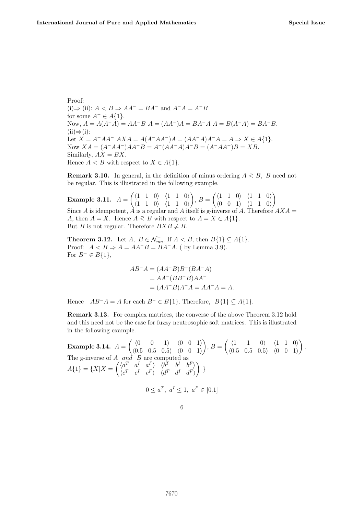Proof: (i)  $\Rightarrow$  (ii):  $A \leq B \Rightarrow AA^{-} = BA^{-}$  and  $A^{-}A = A^{-}B$ for some  $A^- \in A\{1\}$ . Now,  $A = A(A^{-}A) = AA^{-}B A = (AA^{-})A = BA^{-}A A = B(A^{-}A) = BA^{-}B$ .  $(ii) \Rightarrow (i):$ Let  $X = A^{-}AA^{-}AXA = A(A^{-}AA^{-})A = (AA^{-}A)A^{-}A = A \Rightarrow X \in A\{1\}.$ Now  $XA = (A^{-}AA^{-})AA^{-}B = A^{-}(AA^{-}A)A^{-}B = (A^{-}AA^{-})B = XB$ . Similarly,  $AX = BX$ . Hence  $A \leq B$  with respect to  $X \in A\{1\}.$ 

**Remark 3.10.** In general, in the definition of minus ordering  $A \leq B$ , B need not be regular. This is illustrated in the following example.

Example 3.11.  $A =$  $\left(\begin{array}{ccc}1 & 1 & 0\\ 1 & 0 & 1\\ 1 & 0 & 1\end{array}\right)$  $\langle 1 \ 1 \ 0 \rangle$   $\langle 1 \ 1 \ 0 \rangle$  $\setminus$  $, B =$  $\left(\begin{array}{ccc}1 & 1 & 0\\ 1 & 0 & 1\\ 1 & 0 & 1\end{array}\right)$  $\langle 0 \quad 0 \quad 1 \rangle$   $\langle 1 \quad 1 \quad 0 \rangle$  $\setminus$ Since A is idempotent,  $\hat{A}$  is a regular and A itself is g-inverse of A. Therefore  $AXA =$ A, then  $A = X$ . Hence  $A \leq B$  with respect to  $A = X \in A\{1\}$ . But B is not regular. Therefore  $BXB \neq B$ .

**Theorem 3.12.** Let  $A, B \in \mathcal{N}_{mn}^-$ . If  $A \leq B$ , then  $B\{1\} \subseteq A\{1\}$ . Proof:  $A \leq B \Rightarrow A = AA^{-}B = BA^{-}A$ . (by Lemma 3.9). For  $B^- \in B\{1\}$ ,

$$
AB^{-}A = (AA^{-}B)B^{-}(BA^{-}A)
$$
  
=  $AA^{-}(BB^{-}B)AA^{-}$   
=  $(AA^{-}B)A^{-}A = AA^{-}A = A$ .

Hence  $AB^{-}A = A$  for each  $B^{-} \in B\{1\}$ . Therefore,  $B\{1\} \subseteq A\{1\}$ .

Remark 3.13. For complex matrices, the converse of the above Theorem 3.12 hold and this need not be the case for fuzzy neutrosophic soft matrices. This is illustrated in the following example.

Example 3.14.  $A =$  $\left(\begin{array}{ccc} \langle 0 & 0 & 1 \rangle & \langle 0 & 0 & 1 \rangle \end{array}\right)$  $\langle 0.5 \ 0.5 \ 0.5 \rangle \langle 0 \ 0 \ 1 \rangle$  $\setminus$  $, B =$  $\left(\begin{array}{ccc}1 & 1 & 0\\end{array}\right)$   $\left\langle1 & 1 & 0\right\rangle$  $\langle 0.5 \ 0.5 \ 0.5 \rangle \langle 0 \ 0 \ 1 \rangle$  $\setminus$ . The g-inverse of  $A$  and  $B$  are computed as  $A{1} = {X|X =$  $\begin{pmatrix} \langle a^T & a^I & a^F \rangle & \langle b^T & b^I & b^F \rangle \\ a^T & b^T & a^F & b^F \end{pmatrix}$  $\langle c^T \quad c^I \quad c^F \rangle \quad \langle d^T \quad d^I \quad d^F \rangle$  $\setminus$ }  $0 \le a^T$ ,  $a^I \le 1$ ,  $a^F \in [0.1]$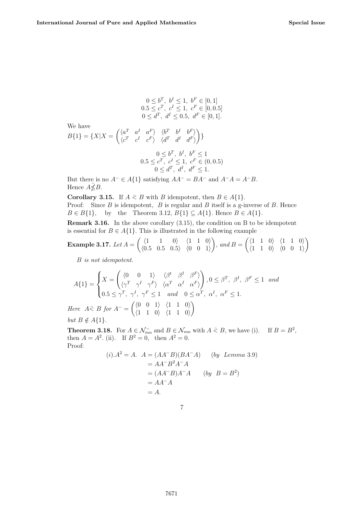$$
0 \leq b^T, \ b^I \leq 1, \ b^F \in [0, 1]
$$
  
\n
$$
0.5 \leq c^T, \ c^I \leq 1, \ c^F \in [0, 0.5]
$$
  
\n
$$
0 \leq d^T, \ d^I \leq 0.5, \ d^F \in [0, 1].
$$
  
\nWe have  
\n
$$
B\{1\} = \{X | X = \begin{pmatrix} \langle a^T & a^I & a^F \rangle & \langle b^T & b^I & b^F \rangle \\ \langle c^T & c^I & c^F \rangle & \langle d^T & d^I & d^F \rangle \end{pmatrix}\}
$$
  
\n
$$
0 \leq b^T, \ b^I, \ b^F \leq 1
$$
  
\n
$$
0.5 \leq c^T, \ c^I \leq 1, \ c^F \in (0, 0.5)
$$
  
\n
$$
0 \leq d^T, \ d^I, \ d^F \leq 1.
$$

But there is no  $A^- \in A\{1\}$  satisfying  $AA^- = BA^-$  and  $A^-A = A^-B$ . Hence  $A\bar{\not\leq}B$ .

**Corollary 3.15.** If  $A \leq B$  with B idempotent, then  $B \in A\{1\}$ . Proof: Since  $B$  is idempotent,  $B$  is regular and  $B$  itself is a g-inverse of  $B$ . Hence  $B \in B\{1\}$ , by the Theorem 3.12,  $B\{1\} \subseteq A\{1\}$ . Hence  $B \in A\{1\}$ .

Remark 3.16. In the above corollary (3.15), the condition on B to be idempotent is essential for  $B \in A\{1\}$ . This is illustrated in the following example

**Example 3.17.** Let 
$$
A = \begin{pmatrix} \langle 1 & 1 & 0 \rangle & \langle 1 & 1 & 0 \rangle \\ \langle 0.5 & 0.5 & 0.5 \rangle & \langle 0 & 0 & 1 \rangle \end{pmatrix}
$$
, and  $B = \begin{pmatrix} \langle 1 & 1 & 0 \rangle & \langle 1 & 1 & 0 \rangle \\ \langle 1 & 1 & 0 \rangle & \langle 0 & 0 & 1 \rangle \end{pmatrix}$ 

B is not idempotent.

$$
A\{1\} = \begin{cases} X = \begin{pmatrix} \langle 0 & 0 & 1 \rangle & \langle \beta^t & \beta^I & \beta^F \rangle \\ \langle \gamma^T & \gamma^I & \gamma^F \rangle & \langle \alpha^T & \alpha^I & \alpha^F \rangle \end{pmatrix}, 0 \leq \beta^T, \ \beta^I, \ \beta^F \leq 1 \quad and \\ 0.5 \leq \gamma^T, \ \gamma^I, \ \gamma^F \leq 1 \quad and \quad 0 \leq \alpha^T, \ \alpha^I, \ \alpha^F \leq 1. \end{cases}
$$
  
Here  $A \leq B$  for  $A^- = \begin{pmatrix} \langle 0 & 0 & 1 \rangle & \langle 1 & 1 & 0 \rangle \\ 0 & 0 & 1 \end{pmatrix}$ 

Here  $A \bar{f}$  as for  $A^-$  =  $\langle 1 \ 1 \ 0 \rangle \ \langle 1 \ 1 \ 0 \rangle$ but  $B \notin A\{1\}.$ 

**Theorem 3.18.** For  $A \in \mathcal{N}_{mn}^-$  and  $B \in \mathcal{N}_{mn}$  with  $A \leq B$ , we have (i). If  $B = B^2$ , then  $A = A^2$ . (ii). If  $B^2 = 0$ , then  $A^2 = 0$ . Proof:

$$
(i).A2 = A. A = (AA-B)(BA-A) (by Lemma 3.9)
$$
  
= AA<sup>-</sup>B<sup>2</sup>A<sup>-</sup>A  
= (AA<sup>-</sup>B)A<sup>-</sup>A (by B = B<sup>2</sup>)  
= AA<sup>-</sup>A  
= A.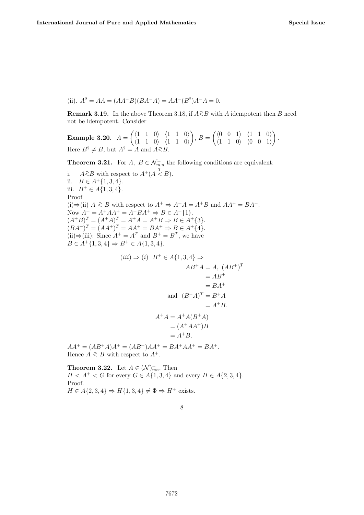(ii).  $A^2 = AA = (AA^{-}B)(BA^{-}A) = AA^{-}(B^2)A^{-}A = 0.$ 

**Remark 3.19.** In the above Theorem 3.18, if  $A \overline{\leq} B$  with A idempotent then B need not be idempotent. Consider

Example 3.20.  $A =$  $\left(\begin{array}{ccc}1 & 1 & 0\\ 1 & 0 & 1\\ 1 & 0 & 1\end{array}\right)$  $\langle 1 \ 1 \ 0 \rangle \ \langle 1 \ 1 \ 0 \rangle$  $\setminus$  $, B =$  $\left(\begin{matrix} \langle 0 & 0 & 1 \rangle & \langle 1 & 1 & 0 \rangle \end{matrix}\right)$  $\langle 1 \ 1 \ 0 \rangle \ \langle 0 \ 0 \ 1 \rangle$  $\setminus$ . Here  $B^2 \neq B$ , but  $A^2 = A$  and  $A \leq B$ .

**Theorem 3.21.** For  $A, B \in \mathcal{N}_{m,n}^+$  the following conditions are equivalent:

i.  $A \leq B$  with respect to  $A^+(A \stackrel{T}{\leq} B)$ . ii.  $B \in A^+\{1, 3, 4\}.$ iii.  $B$ <sup>+</sup> ∈ A{1, 3, 4}. Proof (i)⇒(ii)  $A \leq B$  with respect to  $A^+ \Rightarrow A^+A = A^+B$  and  $AA^+ = BA^+$ . Now  $A^+ = A^+AA^+ = A^+BA^+ \Rightarrow B \in A^+\{1\}.$  $(A^{+}B)^{T} = (A^{+}A)^{T} = A^{+}A = A^{+}B \Rightarrow B \in A^{+}\{3\}.$  $(BA^+)^T = (AA^+)^T = AA^+ = BA^+ \Rightarrow B \in A^+ \{4\}.$ (ii)⇒(iii): Since  $A^+ = A^T$  and  $B^+ = B^T$ , we have  $B \in A^{\dagger}{1,3,4} \Rightarrow B^{\dagger} \in A{1,3,4}.$  $(iii) \Rightarrow (i) \ \ B^+ \in A\{1,3,4\} \Rightarrow$  $AB^{+}A = A, (AB^{+})^{T}$  $= AB^+$  $= BA^+$ and  $(B^+A)^T = B^+A$  $= A^+B$ .  $A^+A = A^+A(B^+A)$  $= (A^{+}AA^{+})B$  $= A^+B$ .

 $AA^{+} = (AB^{+}A)A^{+} = (AB^{+})AA^{+} = BA^{+}AA^{+} = BA^{+}.$ Hence  $A \leq B$  with respect to  $A^+$ .

**Theorem 3.22.** Let  $A \in (\mathcal{N})^+_{mn}$ . Then  $H \leq A^+ \leq G$  for every  $G \in A\{1,3,4\}$  and every  $H \in A\{2,3,4\}.$ Proof.  $H \in A\{2,3,4\} \Rightarrow H\{1,3,4\} \neq \Phi \Rightarrow H^+$  exists.

8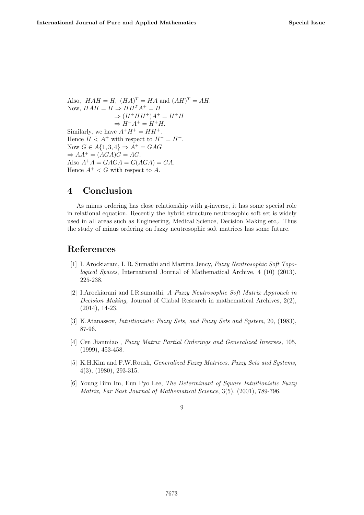Also,  $HAH = H$ ,  $(HA)^{T} = HA$  and  $(AH)^{T} = AH$ . Now,  $HAH = H \Rightarrow H H^T A^+ = H$  $\Rightarrow (H^+HH^+)A^+ = H^+H$  $\Rightarrow H^+A^+=H^+H.$ Similarly, we have  $A^+H^+ = HH^+$ . Hence  $H \nightharpoonup A^+$  with respect to  $H^- = H^+$ . Now  $G \in A\{1, 3, 4\} \Rightarrow A^+ = GAG$  $\Rightarrow AA^+ = (AGA)G = AG.$ Also  $A^+A = GAGA = G(AGA) = GA.$ Hence  $A^+ \geq G$  with respect to A.

### 4 Conclusion

As minus ordering has close relationship with g-inverse, it has some special role in relational equation. Recently the hybrid structure neutrosophic soft set is widely used in all areas such as Engineering, Medical Science, Decision Making etc,. Thus the study of minus ordering on fuzzy neutrosophic soft matrices has some future.

### References

- [1] I. Arockiarani, I. R. Sumathi and Martina Jency, Fuzzy Neutrosophic Soft Topological Spaces, International Journal of Mathematical Archive, 4 (10) (2013), 225-238.
- [2] I.Arockiarani and I.R.sumathi, A Fuzzy Neutrosophic Soft Matrix Approach in Decision Making, Journal of Glabal Research in mathematical Archives,  $2(2)$ , (2014), 14-23.
- [3] K.Atanassov, Intuitionistic Fuzzy Sets, and Fuzzy Sets and System, 20, (1983), 87-96.
- [4] Cen Jianmiao , Fuzzy Matrix Partial Orderings and Generalized Inverses, 105, (1999), 453-458.
- [5] K.H.Kim and F.W.Roush, Generalized Fuzzy Matrices, Fuzzy Sets and Systems, 4(3), (1980), 293-315.
- [6] Young Bim Im, Eun Pyo Lee, The Determinant of Square Intuitionistic Fuzzy Matrix, Far East Journal of Mathematical Science, 3(5), (2001), 789-796.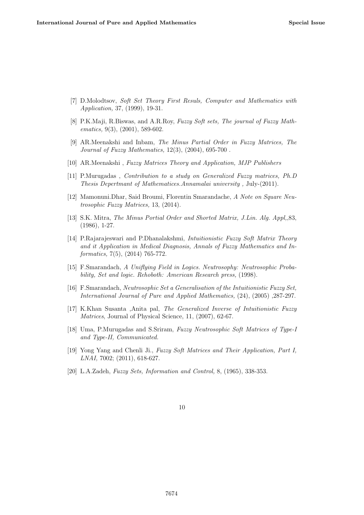- [7] D.Molodtsov, Soft Set Theory First Resuls, Computer and Mathematics with Application, 37, (1999), 19-31.
- [8] P.K.Maji, R.Biswas, and A.R.Roy, Fuzzy Soft sets, The journal of Fuzzy Mathematics, 9(3), (2001), 589-602.
- [9] AR.Meenakshi and Inbam, The Minus Partial Order in Fuzzy Matrices, The Journal of Fuzzy Mathematics, 12(3), (2004), 695-700 .
- [10] AR.Meenakshi , Fuzzy Matrices Theory and Application, MJP Publishers
- [11] P.Murugadas , Contribution to a study on Generalized Fuzzy matrices, Ph.D Thesis Depertmant of Mathematices.Annamalai university , July-(2011).
- [12] Mamonuni.Dhar, Said Broumi, Florentin Smarandache, A Note on Square Neutrosophic Fuzzy Matrices, 13, (2014).
- [13] S.K. Mitra, The Minus Portial Order and Shorted Matrix, J.Lin. Alg. Appl,,83, (1986), 1-27.
- [14] P.Rajarajeswari and P.Dhanalakshmi, Intuitionistic Fuzzy Soft Matrix Theory and it Application in Medical Diagnosis, Annals of Fuzzy Mathematics and Informatics, 7(5), (2014) 765-772.
- [15] F.Smarandach, A Uniflying Field in Logics. Neutrosophy: Neutrosophic Probability, Set and logic. Rehoboth: American Research press, (1998).
- [16] F.Smarandach, Neutrosophic Set a Generalisation of the Intuitionistic Fuzzy Set, International Journal of Pure and Applied Mathematics, (24), (2005) ,287-297.
- [17] K.Khan Susanta ,Anita pal, The Generalized Inverse of Intuitionistic Fuzzy Matrices, Journal of Physical Science, 11,  $(2007)$ , 62-67.
- [18] Uma, P.Murugadas and S.Sriram, Fuzzy Neutrosophic Soft Matrices of Type-I and Type-II, Communicated.
- [19] Yong Yang and Chenli Ji., Fuzzy Soft Matrices and Their Application, Part I, LNAI, 7002; (2011), 618-627.
- [20] L.A.Zadeh, *Fuzzy Sets, Information and Control*, 8, (1965), 338-353.